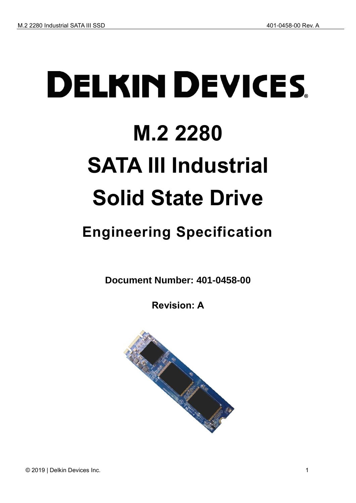# **DELKIN DEVICES M.2 2280 SATA III Industrial Solid State Drive**

## <span id="page-0-0"></span>**Engineering Specification**

**Document Number: 401-0458-00**

**Revision: A**

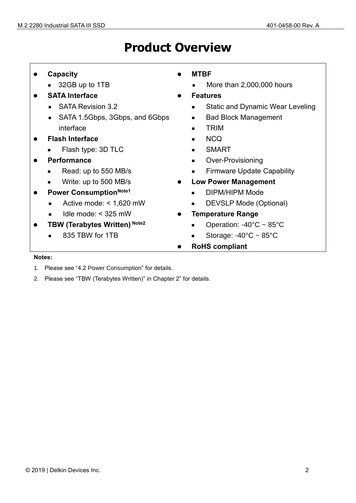## **Product Overview**

| <b>Capacity</b> |  |
|-----------------|--|
|                 |  |

- 32GB up to 1TB
- ⚫ **SATA Interface**
	- SATA Revision 3.2
	- SATA 1.5Gbps, 3Gbps, and 6Gbps interface
- ⚫ **Flash Interface**
	- Flash type: 3D TLC
- ⚫ **Performance**
	- Read: up to 550 MB/s
	- Write: up to 500 MB/s
- ⚫ **Power ConsumptionNote1**
	- Active mode: < 1,620 mW
	- $I$ dle mode: < 325 mW
- ⚫ **TBW (Terabytes Written) Note2**
	- 835 TBW for 1TB
- ⚫ **MTBF**
	- More than 2,000,000 hours
- ⚫ **Features**
	- Static and Dynamic Wear Leveling
	- Bad Block Management
	- TRIM
	- N<sub>CO</sub>
	- SMART
	- Over-Provisioning
	- Firmware Update Capability
- ⚫ **Low Power Management**
	- DIPM/HIPM Mode
	- DEVSLP Mode (Optional)
- ⚫ **Temperature Range**
	- Operation: -40°C ~ 85°C
	- Storage:  $-40^{\circ}$ C ~ 85 $^{\circ}$ C
- ⚫ **RoHS compliant**

#### **Notes:**

- 1. Please see ["4.2](#page-13-0) [Power Consumption"](#page-13-0) for details.
- 2. Please see "TBW (Terabytes Written)" in Chapter [2"](#page-9-0) for details.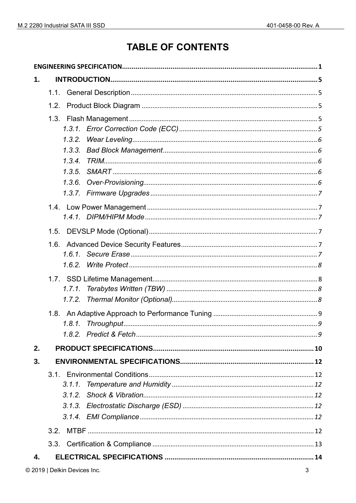## **TABLE OF CONTENTS**

| 1. |                                                |
|----|------------------------------------------------|
|    | 1.1.                                           |
|    | 1.2.                                           |
|    | 1.3.2.<br>1.3.3.<br>1.3.4.<br>1.3.5.<br>1.3.6. |
|    |                                                |
|    |                                                |
|    |                                                |
|    | 1.6.2.                                         |
|    | 1.7.1.<br>1.7.2.                               |
|    |                                                |
| 2. |                                                |
| 3. |                                                |
|    | 3.1.1.                                         |
|    | 3.2.                                           |
|    | 3.3.                                           |
| 4. |                                                |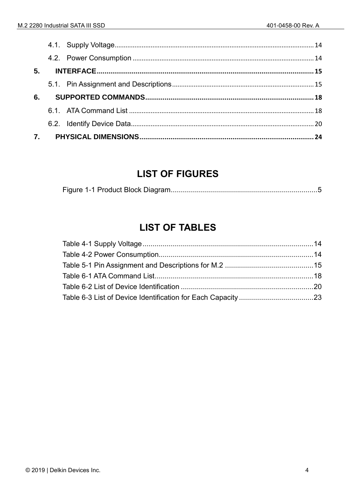| 5. |  |  |
|----|--|--|
|    |  |  |
|    |  |  |
| 6. |  |  |
|    |  |  |
|    |  |  |

## **LIST OF FIGURES**

## **LIST OF TABLES**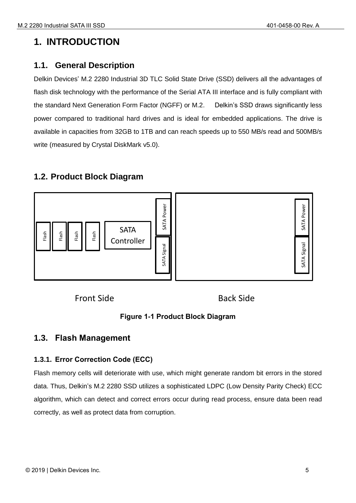## <span id="page-4-0"></span>**1. INTRODUCTION**

## <span id="page-4-1"></span>**1.1. General Description**

Delkin Devices' M.2 2280 Industrial 3D TLC Solid State Drive (SSD) delivers all the advantages of flash disk technology with the performance of the Serial ATA III interface and is fully compliant with the standard Next Generation Form Factor (NGFF) or M.2. Delkin's SSD draws significantly less power compared to traditional hard drives and is ideal for embedded applications. The drive is available in capacities from 32GB to 1TB and can reach speeds up to 550 MB/s read and 500MB/s write (measured by Crystal DiskMark v5.0).

## <span id="page-4-2"></span>**1.2. Product Block Diagram**



Front Side

Back Side

## **Figure 1-1 Product Block Diagram**

## <span id="page-4-5"></span><span id="page-4-3"></span>**1.3. Flash Management**

## <span id="page-4-4"></span>**1.3.1. Error Correction Code (ECC)**

Flash memory cells will deteriorate with use, which might generate random bit errors in the stored data. Thus, Delkin's M.2 2280 SSD utilizes a sophisticated LDPC (Low Density Parity Check) ECC algorithm, which can detect and correct errors occur during read process, ensure data been read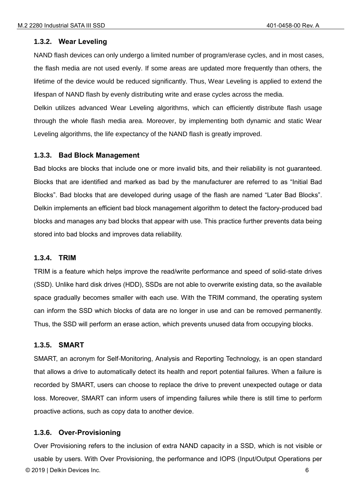#### <span id="page-5-0"></span>**1.3.2. Wear Leveling**

NAND flash devices can only undergo a limited number of program/erase cycles, and in most cases, the flash media are not used evenly. If some areas are updated more frequently than others, the lifetime of the device would be reduced significantly. Thus, Wear Leveling is applied to extend the lifespan of NAND flash by evenly distributing write and erase cycles across the media.

Delkin utilizes advanced Wear Leveling algorithms, which can efficiently distribute flash usage through the whole flash media area. Moreover, by implementing both dynamic and static Wear Leveling algorithms, the life expectancy of the NAND flash is greatly improved.

#### <span id="page-5-1"></span>**1.3.3. Bad Block Management**

Bad blocks are blocks that include one or more invalid bits, and their reliability is not guaranteed. Blocks that are identified and marked as bad by the manufacturer are referred to as "Initial Bad Blocks". Bad blocks that are developed during usage of the flash are named "Later Bad Blocks". Delkin implements an efficient bad block management algorithm to detect the factory-produced bad blocks and manages any bad blocks that appear with use. This practice further prevents data being stored into bad blocks and improves data reliability.

#### <span id="page-5-2"></span>**1.3.4. TRIM**

TRIM is a feature which helps improve the read/write performance and speed of solid-state drives (SSD). Unlike hard disk drives (HDD), SSDs are not able to overwrite existing data, so the available space gradually becomes smaller with each use. With the TRIM command, the operating system can inform the SSD which blocks of data are no longer in use and can be removed permanently. Thus, the SSD will perform an erase action, which prevents unused data from occupying blocks.

#### <span id="page-5-3"></span>**1.3.5. SMART**

SMART, an acronym for Self-Monitoring, Analysis and Reporting Technology, is an open standard that allows a drive to automatically detect its health and report potential failures. When a failure is recorded by SMART, users can choose to replace the drive to prevent unexpected outage or data loss. Moreover, SMART can inform users of impending failures while there is still time to perform proactive actions, such as copy data to another device.

#### <span id="page-5-4"></span>**1.3.6. Over-Provisioning**

© 2019 | Delkin Devices Inc. 6 Over Provisioning refers to the inclusion of extra NAND capacity in a SSD, which is not visible or usable by users. With Over Provisioning, the performance and IOPS (Input/Output Operations per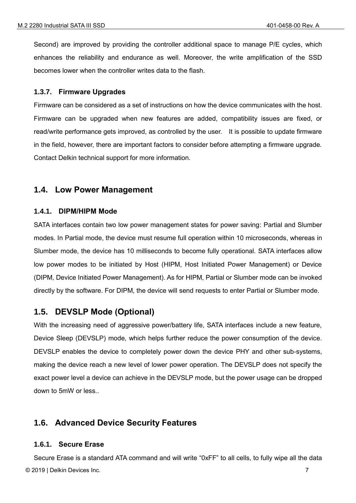Second) are improved by providing the controller additional space to manage P/E cycles, which enhances the reliability and endurance as well. Moreover, the write amplification of the SSD becomes lower when the controller writes data to the flash.

#### <span id="page-6-0"></span>**1.3.7. Firmware Upgrades**

Firmware can be considered as a set of instructions on how the device communicates with the host. Firmware can be upgraded when new features are added, compatibility issues are fixed, or read/write performance gets improved, as controlled by the user. It is possible to update firmware in the field, however, there are important factors to consider before attempting a firmware upgrade. Contact Delkin technical support for more information.

## <span id="page-6-1"></span>**1.4. Low Power Management**

#### <span id="page-6-2"></span>**1.4.1. DIPM/HIPM Mode**

SATA interfaces contain two low power management states for power saving: Partial and Slumber modes. In Partial mode, the device must resume full operation within 10 microseconds, whereas in Slumber mode, the device has 10 milliseconds to become fully operational. SATA interfaces allow low power modes to be initiated by Host (HIPM, Host Initiated Power Management) or Device (DIPM, Device Initiated Power Management). As for HIPM, Partial or Slumber mode can be invoked directly by the software. For DIPM, the device will send requests to enter Partial or Slumber mode.

## <span id="page-6-3"></span>**1.5. DEVSLP Mode (Optional)**

With the increasing need of aggressive power/battery life, SATA interfaces include a new feature, Device Sleep (DEVSLP) mode, which helps further reduce the power consumption of the device. DEVSLP enables the device to completely power down the device PHY and other sub-systems, making the device reach a new level of lower power operation. The DEVSLP does not specify the exact power level a device can achieve in the DEVSLP mode, but the power usage can be dropped down to 5mW or less..

## <span id="page-6-4"></span>**1.6. Advanced Device Security Features**

#### <span id="page-6-5"></span>**1.6.1. Secure Erase**

© 2019 | Delkin Devices Inc. 7 Secure Erase is a standard ATA command and will write "0xFF" to all cells, to fully wipe all the data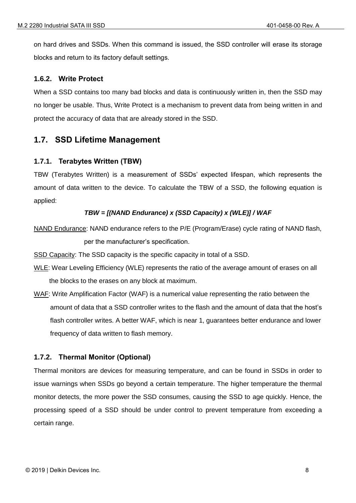on hard drives and SSDs. When this command is issued, the SSD controller will erase its storage blocks and return to its factory default settings.

#### <span id="page-7-0"></span>**1.6.2. Write Protect**

When a SSD contains too many bad blocks and data is continuously written in, then the SSD may no longer be usable. Thus, Write Protect is a mechanism to prevent data from being written in and protect the accuracy of data that are already stored in the SSD.

## <span id="page-7-1"></span>**1.7. SSD Lifetime Management**

#### <span id="page-7-2"></span>**1.7.1. Terabytes Written (TBW)**

TBW (Terabytes Written) is a measurement of SSDs' expected lifespan, which represents the amount of data written to the device. To calculate the TBW of a SSD, the following equation is applied:

#### *TBW = [(NAND Endurance) x (SSD Capacity) x (WLE)] / WAF*

NAND Endurance: NAND endurance refers to the P/E (Program/Erase) cycle rating of NAND flash, per the manufacturer's specification.

SSD Capacity: The SSD capacity is the specific capacity in total of a SSD.

- WLE: Wear Leveling Efficiency (WLE) represents the ratio of the average amount of erases on all the blocks to the erases on any block at maximum.
- WAF: Write Amplification Factor (WAF) is a numerical value representing the ratio between the amount of data that a SSD controller writes to the flash and the amount of data that the host's flash controller writes. A better WAF, which is near 1, guarantees better endurance and lower frequency of data written to flash memory.

#### <span id="page-7-3"></span>**1.7.2. Thermal Monitor (Optional)**

Thermal monitors are devices for measuring temperature, and can be found in SSDs in order to issue warnings when SSDs go beyond a certain temperature. The higher temperature the thermal monitor detects, the more power the SSD consumes, causing the SSD to age quickly. Hence, the processing speed of a SSD should be under control to prevent temperature from exceeding a certain range.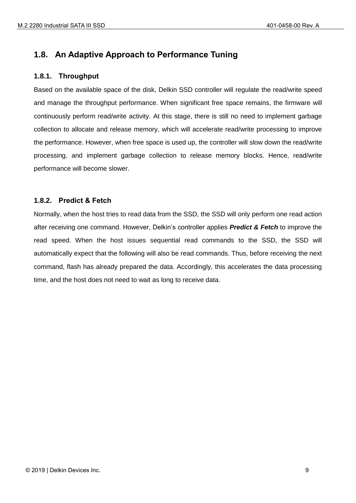## <span id="page-8-0"></span>**1.8. An Adaptive Approach to Performance Tuning**

#### <span id="page-8-1"></span>**1.8.1. Throughput**

Based on the available space of the disk, Delkin SSD controller will regulate the read/write speed and manage the throughput performance. When significant free space remains, the firmware will continuously perform read/write activity. At this stage, there is still no need to implement garbage collection to allocate and release memory, which will accelerate read/write processing to improve the performance. However, when free space is used up, the controller will slow down the read/write processing, and implement garbage collection to release memory blocks. Hence, read/write performance will become slower.

#### <span id="page-8-2"></span>**1.8.2. Predict & Fetch**

Normally, when the host tries to read data from the SSD, the SSD will only perform one read action after receiving one command. However, Delkin's controller applies *Predict & Fetch* to improve the read speed. When the host issues sequential read commands to the SSD, the SSD will automatically expect that the following will also be read commands. Thus, before receiving the next command, flash has already prepared the data. Accordingly, this accelerates the data processing time, and the host does not need to wait as long to receive data.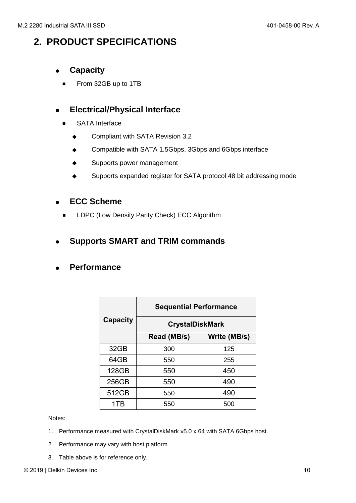## <span id="page-9-0"></span>**2. PRODUCT SPECIFICATIONS**

- ⚫ **Capacity**
	- From 32GB up to 1TB

## ⚫ **Electrical/Physical Interface**

- SATA Interface
	- ◆ Compliant with SATA Revision 3.2
	- Compatible with SATA 1.5Gbps, 3Gbps and 6Gbps interface
	- Supports power management
	- Supports expanded register for SATA protocol 48 bit addressing mode

## ⚫ **ECC Scheme**

LDPC (Low Density Parity Check) ECC Algorithm

## ⚫ **Supports SMART and TRIM commands**

## ⚫ **Performance**

|          | <b>Sequential Performance</b> |              |  |  |
|----------|-------------------------------|--------------|--|--|
| Capacity | <b>CrystalDiskMark</b>        |              |  |  |
|          | Read (MB/s)                   | Write (MB/s) |  |  |
| 32GB     | 300                           | 125          |  |  |
| 64GB     | 550                           | 255          |  |  |
| 128GB    | 550                           | 450          |  |  |
| 256GB    | 550                           | 490          |  |  |
| 512GB    | 550                           | 490          |  |  |
| 1TR      | 550                           | 500          |  |  |

Notes:

- 1. Performance measured with CrystalDiskMark v5.0 x 64 with SATA 6Gbps host.
- 2. Performance may vary with host platform.
- 3. Table above is for reference only.

© 2019 | Delkin Devices Inc. 10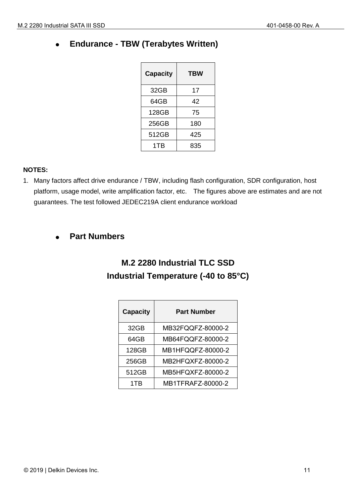## ⚫ **Endurance - TBW (Terabytes Written)**

| <b>Capacity</b> | TBW |
|-----------------|-----|
| 32GB            | 17  |
| 64GB            | 42  |
| 128GB           | 75  |
| 256GB           | 180 |
| 512GB           | 425 |
| 1TB             | 835 |

#### **NOTES:**

1. Many factors affect drive endurance / TBW, including flash configuration, SDR configuration, host platform, usage model, write amplification factor, etc. The figures above are estimates and are not guarantees. The test followed JEDEC219A client endurance workload

## ⚫ **Part Numbers**

## **M.2 2280 Industrial TLC SSD Industrial Temperature (-40 to 85°C)**

| <b>Capacity</b> | <b>Part Number</b> |
|-----------------|--------------------|
| 32GB            | MB32FQQFZ-80000-2  |
| 64GB            | MB64FQQFZ-80000-2  |
| 128GB           | MB1HFQQFZ-80000-2  |
| 256GB           | MB2HFQXFZ-80000-2  |
| 512GB           | MB5HFQXFZ-80000-2  |
| 1TR             | MB1TFRAFZ-80000-2  |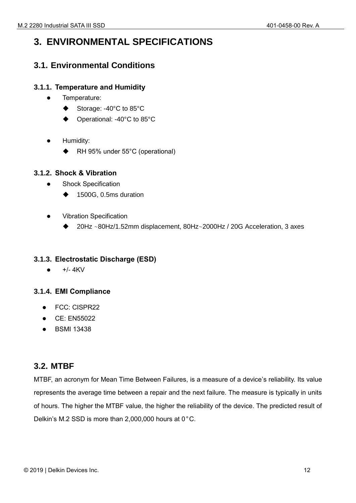## <span id="page-11-0"></span>**3. ENVIRONMENTAL SPECIFICATIONS**

## <span id="page-11-1"></span>**3.1. Environmental Conditions**

## <span id="page-11-2"></span>**3.1.1. Temperature and Humidity**

- ⚫ Temperature:
	- Storage: -40°C to 85°C
	- Operational: -40°C to 85°C
- Humidity:
	- RH 95% under 55°C (operational)

## <span id="page-11-3"></span>**3.1.2. Shock & Vibration**

- ⚫ Shock Specification
	- ◆ 1500G, 0.5ms duration
- ⚫ Vibration Specification
	- ◆ 20Hz ~80Hz/1.52mm displacement, 80Hz~2000Hz / 20G Acceleration, 3 axes

## <span id="page-11-4"></span>**3.1.3. Electrostatic Discharge (ESD)**

⚫ +/- 4KV

## <span id="page-11-5"></span>**3.1.4. EMI Compliance**

- ⚫ FCC: CISPR22
- CE: EN55022
- ⚫ BSMI 13438

## <span id="page-11-6"></span>**3.2. MTBF**

MTBF, an acronym for Mean Time Between Failures, is a measure of a device's reliability. Its value represents the average time between a repair and the next failure. The measure is typically in units of hours. The higher the MTBF value, the higher the reliability of the device. The predicted result of Delkin's M.2 SSD is more than 2,000,000 hours at 0°C.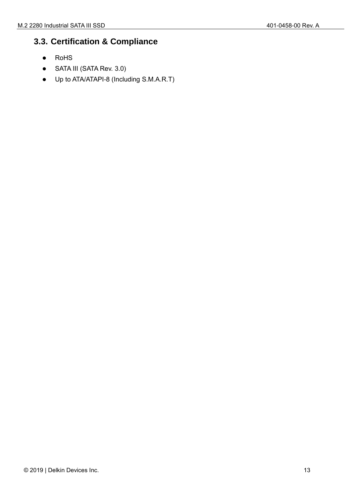## <span id="page-12-0"></span>**3.3. Certification & Compliance**

- ⚫ RoHS
- SATA III (SATA Rev. 3.0)
- ⚫ Up to ATA/ATAPI-8 (Including S.M.A.R.T)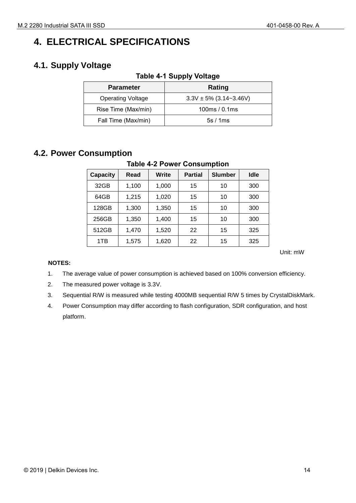## <span id="page-13-1"></span>**4. ELECTRICAL SPECIFICATIONS**

## <span id="page-13-3"></span><span id="page-13-2"></span>**4.1. Supply Voltage**

| <b>Parameter</b>         | Rating                      |
|--------------------------|-----------------------------|
| <b>Operating Voltage</b> | $3.3V \pm 5\%$ (3.14~3.46V) |
| Rise Time (Max/min)      | 100ms/0.1ms                 |
| Fall Time (Max/min)      | 5s/1ms                      |
|                          |                             |

#### **Table 4-1 Supply Voltage**

## <span id="page-13-4"></span><span id="page-13-0"></span>**4.2. Power Consumption**

## **Table 4-2 Power Consumption**

| <b>Capacity</b> | Read  | Write | <b>Partial</b> | <b>Slumber</b> | Idle |
|-----------------|-------|-------|----------------|----------------|------|
| 32GB            | 1,100 | 1,000 | 15             | 10             | 300  |
| 64GB            | 1,215 | 1,020 | 15             | 10             | 300  |
| 128GB           | 1,300 | 1,350 | 15             | 10             | 300  |
| 256GB           | 1,350 | 1,400 | 15             | 10             | 300  |
| 512GB           | 1,470 | 1,520 | 22             | 15             | 325  |
| 1TB             | 1,575 | 1,620 | 22             | 15             | 325  |

Unit: mW

#### **NOTES:**

- 1. The average value of power consumption is achieved based on 100% conversion efficiency.
- 2. The measured power voltage is 3.3V.
- 3. Sequential R/W is measured while testing 4000MB sequential R/W 5 times by CrystalDiskMark.
- 4. Power Consumption may differ according to flash configuration, SDR configuration, and host platform.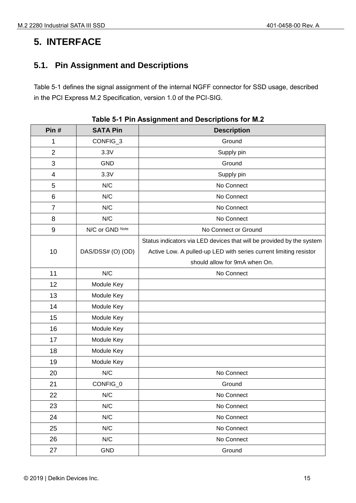## <span id="page-14-0"></span>**5. INTERFACE**

## <span id="page-14-1"></span>**5.1. Pin Assignment and Descriptions**

Table 5-1 defines the signal assignment of the internal NGFF connector for SSD usage, described in the PCI Express M.2 Specification, version 1.0 of the PCI-SIG.

<span id="page-14-2"></span>

| Pin#                     | <b>SATA Pin</b>   | <b>Description</b>                                                    |
|--------------------------|-------------------|-----------------------------------------------------------------------|
| 1                        | CONFIG_3          | Ground                                                                |
| $\overline{2}$           | 3.3V              | Supply pin                                                            |
| 3                        | <b>GND</b>        | Ground                                                                |
| $\overline{\mathcal{A}}$ | 3.3V              | Supply pin                                                            |
| 5                        | N/C               | No Connect                                                            |
| 6                        | N/C               | No Connect                                                            |
| $\overline{7}$           | N/C               | No Connect                                                            |
| 8                        | N/C               | No Connect                                                            |
| 9                        | N/C or GND Note   | No Connect or Ground                                                  |
|                          |                   | Status indicators via LED devices that will be provided by the system |
| 10                       | DAS/DSS# (O) (OD) | Active Low. A pulled-up LED with series current limiting resistor     |
|                          |                   | should allow for 9mA when On.                                         |
| 11                       | N/C               | No Connect                                                            |
| 12                       | Module Key        |                                                                       |
| 13                       | Module Key        |                                                                       |
| 14                       | Module Key        |                                                                       |
| 15                       | Module Key        |                                                                       |
| 16                       | Module Key        |                                                                       |
| 17                       | Module Key        |                                                                       |
| 18                       | Module Key        |                                                                       |
| 19                       | Module Key        |                                                                       |
| 20                       | N/C               | No Connect                                                            |
| 21                       | CONFIG_0          | Ground                                                                |
| 22                       | N/C               | No Connect                                                            |
| 23                       | N/C               | No Connect                                                            |
| 24                       | N/C               | No Connect                                                            |
| 25                       | N/C               | No Connect                                                            |
| 26                       | N/C               | No Connect                                                            |
| 27                       | <b>GND</b>        | Ground                                                                |

|  | Table 5-1 Pin Assignment and Descriptions for M.2 |  |  |  |
|--|---------------------------------------------------|--|--|--|
|  |                                                   |  |  |  |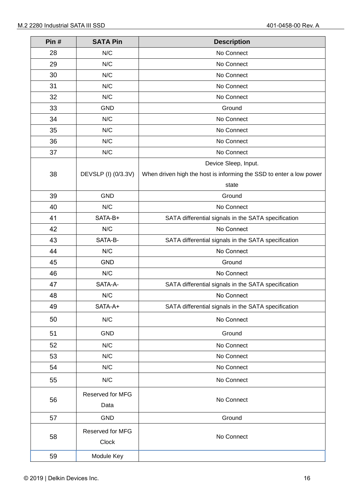| Pin# | <b>SATA Pin</b>           | <b>Description</b>                                                  |
|------|---------------------------|---------------------------------------------------------------------|
| 28   | N/C                       | No Connect                                                          |
| 29   | N/C                       | No Connect                                                          |
| 30   | N/C                       | No Connect                                                          |
| 31   | N/C                       | No Connect                                                          |
| 32   | N/C                       | No Connect                                                          |
| 33   | <b>GND</b>                | Ground                                                              |
| 34   | N/C                       | No Connect                                                          |
| 35   | N/C                       | No Connect                                                          |
| 36   | N/C                       | No Connect                                                          |
| 37   | N/C                       | No Connect                                                          |
|      |                           | Device Sleep, Input.                                                |
| 38   | DEVSLP (I) (0/3.3V)       | When driven high the host is informing the SSD to enter a low power |
|      |                           | state                                                               |
| 39   | <b>GND</b>                | Ground                                                              |
| 40   | N/C                       | No Connect                                                          |
| 41   | SATA-B+                   | SATA differential signals in the SATA specification                 |
| 42   | N/C                       | No Connect                                                          |
| 43   | SATA-B-                   | SATA differential signals in the SATA specification                 |
| 44   | N/C                       | No Connect                                                          |
| 45   | <b>GND</b>                | Ground                                                              |
| 46   | N/C                       | No Connect                                                          |
| 47   | SATA-A-                   | SATA differential signals in the SATA specification                 |
| 48   | N/C                       | No Connect                                                          |
| 49   | SATA-A+                   | SATA differential signals in the SATA specification                 |
| 50   | N/C                       | No Connect                                                          |
| 51   | <b>GND</b>                | Ground                                                              |
| 52   | N/C                       | No Connect                                                          |
| 53   | N/C                       | No Connect                                                          |
| 54   | N/C                       | No Connect                                                          |
| 55   | N/C                       | No Connect                                                          |
| 56   | Reserved for MFG<br>Data  | No Connect                                                          |
| 57   | <b>GND</b>                | Ground                                                              |
|      |                           |                                                                     |
| 58   | Reserved for MFG<br>Clock | No Connect                                                          |
| 59   | Module Key                |                                                                     |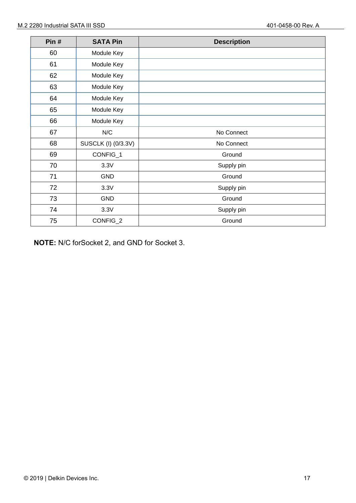| Pin# | <b>SATA Pin</b>     | <b>Description</b> |
|------|---------------------|--------------------|
|      |                     |                    |
| 60   | Module Key          |                    |
| 61   | Module Key          |                    |
| 62   | Module Key          |                    |
| 63   | Module Key          |                    |
| 64   | Module Key          |                    |
| 65   | Module Key          |                    |
| 66   | Module Key          |                    |
| 67   | N/C                 | No Connect         |
| 68   | SUSCLK (I) (0/3.3V) | No Connect         |
| 69   | CONFIG_1            | Ground             |
| 70   | 3.3V                | Supply pin         |
| 71   | <b>GND</b>          | Ground             |
| 72   | 3.3V                | Supply pin         |
| 73   | <b>GND</b>          | Ground             |
| 74   | 3.3V                | Supply pin         |
| 75   | CONFIG_2            | Ground             |

**NOTE:** N/C forSocket 2, and GND for Socket 3.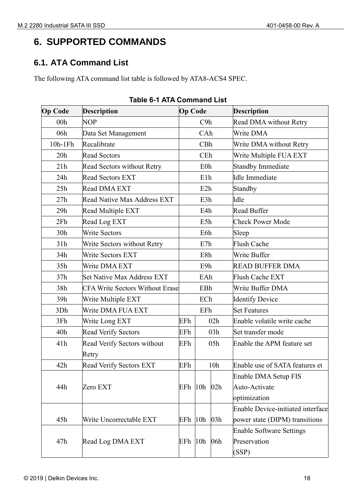## <span id="page-17-0"></span>**6. SUPPORTED COMMANDS**

## <span id="page-17-1"></span>**6.1. ATA Command List**

<span id="page-17-2"></span>The following ATA command list table is followed by ATA8-ACS4 SPEC.

| <b>Op Code</b>  | <b>Description</b>                     | <b>Op Code</b> |                  |                 | <b>Description</b>                       |
|-----------------|----------------------------------------|----------------|------------------|-----------------|------------------------------------------|
| 00 <sub>h</sub> | <b>NOP</b>                             |                | C9h              |                 | Read DMA without Retry                   |
| 06h             | Data Set Management                    |                | CAh              |                 | Write DMA                                |
| 10h-1Fh         | Recalibrate                            |                | CBh              |                 | Write DMA without Retry                  |
| 20h             | <b>Read Sectors</b>                    |                | CEh              |                 | Write Multiple FUA EXT                   |
| 21h             | <b>Read Sectors without Retry</b>      |                | E0h              |                 | <b>Standby Immediate</b>                 |
| 24h             | <b>Read Sectors EXT</b>                |                | E1h              |                 | <b>Idle Immediate</b>                    |
| 25h             | Read DMA EXT                           |                | E <sub>2</sub> h |                 | Standby                                  |
| 27h             | Read Native Max Address EXT            |                | E3h              |                 | Idle                                     |
| 29h             | Read Multiple EXT                      |                | E4h              |                 | Read Buffer                              |
| 2Fh             | Read Log EXT                           |                | E5h              |                 | <b>Check Power Mode</b>                  |
| 30h             | <b>Write Sectors</b>                   |                | E6h              |                 | Sleep                                    |
| 31h             | Write Sectors without Retry            |                | E7h              |                 | <b>Flush Cache</b>                       |
| 34h             | <b>Write Sectors EXT</b>               |                | E8h              |                 | Write Buffer                             |
| 35h             | Write DMA EXT                          |                | E9h              |                 | <b>READ BUFFER DMA</b>                   |
| 37h             | <b>Set Native Max Address EXT</b>      |                | EAh              |                 | Flush Cache EXT                          |
| 38h             | <b>CFA Write Sectors Without Erase</b> |                | EBh              |                 | Write Buffer DMA                         |
| 39h             | Write Multiple EXT                     |                | ECh              |                 | <b>Identify Device</b>                   |
| 3Dh             | Write DMA FUA EXT                      |                | EFh              |                 | <b>Set Features</b>                      |
| 3Fh             | Write Long EXT                         | EFh            |                  | 02h             | Enable volatile write cache              |
| 40h             | <b>Read Verify Sectors</b>             | EFh            |                  | 03h             | Set transfer mode                        |
| 41h             | Read Verify Sectors without            | EFh            |                  | 05h             | Enable the APM feature set               |
|                 | Retry                                  |                |                  |                 |                                          |
| 42h             | <b>Read Verify Sectors EXT</b>         | EFh            |                  | 10 <sub>h</sub> | Enable use of SATA features et           |
|                 |                                        |                |                  |                 | Enable DMA Setup FIS                     |
| 44h             | Zero EXT                               | EFh            | 10 <sub>h</sub>  | 02h             | Auto-Activate                            |
|                 |                                        |                |                  |                 | optimization                             |
|                 |                                        |                |                  |                 | <b>Enable Device-initiated interface</b> |
| 45h             | Write Uncorrectable EXT                | EFh            | 10 <sub>h</sub>  | 03h             | power state (DIPM) transitions           |
|                 |                                        |                |                  |                 | <b>Enable Software Settings</b>          |
| 47h             | Read Log DMA EXT                       | EFh            | 10 <sub>h</sub>  | 06h             | Preservation                             |
|                 |                                        |                |                  |                 | (SSP)                                    |

#### **Table 6-1 ATA Command List**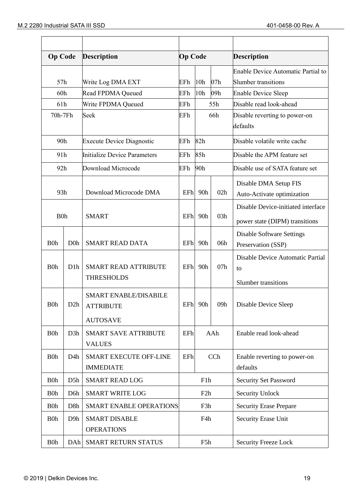| <b>Op Code</b>   |                  | <b>Description</b>                               |     | <b>Op Code</b>                |                 | <b>Description</b>                        |
|------------------|------------------|--------------------------------------------------|-----|-------------------------------|-----------------|-------------------------------------------|
|                  |                  |                                                  |     |                               |                 | <b>Enable Device Automatic Partial to</b> |
| 57h              |                  | Write Log DMA EXT                                | EFh | 10h                           | 07h             | <b>Slumber transitions</b>                |
| 60h              |                  | Read FPDMA Queued                                | EFh | 10h                           | 09 <sub>h</sub> | <b>Enable Device Sleep</b>                |
| 61h              |                  | Write FPDMA Queued                               | EFh |                               | 55h             | Disable read look-ahead                   |
| 70h-7Fh          |                  | Seek                                             | EFh |                               | 66h             | Disable reverting to power-on<br>defaults |
| 90h              |                  | <b>Execute Device Diagnostic</b>                 | EFh | 82h                           |                 | Disable volatile write cache              |
| 91h              |                  | Initialize Device Parameters                     | EFh | 85h                           |                 | Disable the APM feature set               |
| 92h              |                  | Download Microcode                               | EFh | 90h                           |                 | Disable use of SATA feature set           |
|                  |                  |                                                  |     |                               |                 | Disable DMA Setup FIS                     |
| 93h              |                  | Download Microcode DMA                           | EFh | 90h                           | 02h             | Auto-Activate optimization                |
|                  |                  |                                                  |     |                               |                 | Disable Device-initiated interface        |
| <b>B0h</b>       |                  | <b>SMART</b>                                     | EFh | 90h                           | 03h             | power state (DIPM) transitions            |
|                  |                  |                                                  |     |                               |                 | <b>Disable Software Settings</b>          |
| B <sub>0</sub> h | D <sub>0</sub> h | <b>SMART READ DATA</b>                           | EFh | 90h                           | 06h             | Preservation (SSP)                        |
| <b>B0h</b>       | D <sub>1</sub> h | <b>SMART READ ATTRIBUTE</b>                      | EFh | 90h                           | 07h             | Disable Device Automatic Partial<br>to    |
|                  |                  | <b>THRESHOLDS</b>                                |     |                               |                 | <b>Slumber transitions</b>                |
| B <sub>0</sub> h | D2h              | <b>SMART ENABLE/DISABILE</b><br><b>ATTRIBUTE</b> |     | EFh 90h                       |                 | 09h   Disable Device Sleep                |
|                  |                  | <b>AUTOSAVE</b>                                  |     |                               |                 |                                           |
| B <sub>0</sub> h | D <sub>3</sub> h | <b>SMART SAVE ATTRIBUTE</b><br><b>VALUES</b>     | EFh | AAh<br>Enable read look-ahead |                 |                                           |
| <b>B0h</b>       | D <sub>4</sub> h | SMART EXECUTE OFF-LINE<br><b>IMMEDIATE</b>       | EFh | CCh                           |                 | Enable reverting to power-on<br>defaults  |
| B <sub>0</sub> h | D <sub>5</sub> h | <b>SMART READ LOG</b>                            |     | F1h                           |                 | <b>Security Set Password</b>              |
| B <sub>0</sub> h | D <sub>6</sub> h | <b>SMART WRITE LOG</b>                           |     | F <sub>2</sub> h              |                 | <b>Security Unlock</b>                    |
| <b>B</b> Oh      | D <sub>8</sub> h | <b>SMART ENABLE OPERATIONS</b>                   |     | F3h                           |                 | <b>Security Erase Prepare</b>             |
| B <sub>0</sub> h | D <sub>9</sub> h | <b>SMART DISABLE</b><br><b>OPERATIONS</b>        |     | F4h                           |                 | Security Erase Unit                       |
| B <sub>0</sub> h | DA <sub>h</sub>  | SMART RETURN STATUS                              |     | F5h                           |                 | <b>Security Freeze Lock</b>               |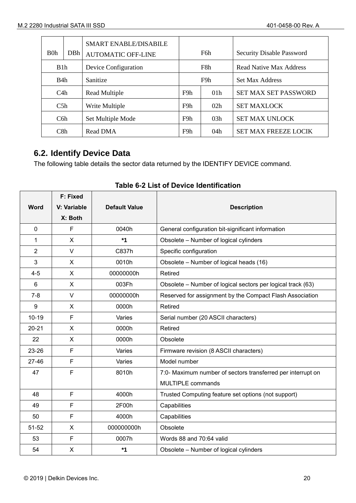| B <sub>0</sub> h | DBh | SMART ENABLE/DISABILE<br><b>AUTOMATIC OFF-LINE</b> |                                           | F6h | <b>Security Disable Password</b> |
|------------------|-----|----------------------------------------------------|-------------------------------------------|-----|----------------------------------|
| B1h              |     | Device Configuration                               |                                           | F8h | Read Native Max Address          |
| B4h              |     | Sanitize                                           |                                           | F9h | <b>Set Max Address</b>           |
| C4h              |     | Read Multiple                                      | F9h<br>01 <sub>h</sub>                    |     | <b>SET MAX SET PASSWORD</b>      |
| C5h              |     | Write Multiple                                     | F9h<br>02h                                |     | <b>SET MAXLOCK</b>               |
| C <sub>6</sub> h |     | Set Multiple Mode                                  | F9h                                       | 03h | <b>SET MAX UNLOCK</b>            |
| C8h              |     | <b>Read DMA</b>                                    | <b>SET MAX FREEZE LOCIK</b><br>F9h<br>04h |     |                                  |

## <span id="page-19-0"></span>**6.2. Identify Device Data**

The following table details the sector data returned by the IDENTIFY DEVICE command.

<span id="page-19-1"></span>

|                | F: Fixed               |                      |                                                             |
|----------------|------------------------|----------------------|-------------------------------------------------------------|
| <b>Word</b>    | V: Variable<br>X: Both | <b>Default Value</b> | <b>Description</b>                                          |
| $\mathbf{0}$   | F                      | 0040h                | General configuration bit-significant information           |
| 1              | X                      | $*1$                 | Obsolete - Number of logical cylinders                      |
| $\overline{2}$ | $\vee$                 | C837h                | Specific configuration                                      |
| 3              | X                      | 0010h                | Obsolete - Number of logical heads (16)                     |
| $4 - 5$        | X                      | 00000000h            | Retired                                                     |
| 6              | X                      | 003Fh                | Obsolete - Number of logical sectors per logical track (63) |
| $7 - 8$        | $\vee$                 | 00000000h            | Reserved for assignment by the Compact Flash Association    |
| 9              | X                      | 0000h                | Retired                                                     |
| $10 - 19$      | F                      | Varies               | Serial number (20 ASCII characters)                         |
| $20 - 21$      | X                      | 0000h                | Retired                                                     |
| 22             | X                      | 0000h                | Obsolete                                                    |
| 23-26          | F                      | Varies               | Firmware revision (8 ASCII characters)                      |
| $27 - 46$      | F                      | Varies               | Model number                                                |
| 47             | F                      | 8010h                | 7:0- Maximum number of sectors transferred per interrupt on |
|                |                        |                      | MULTIPLE commands                                           |
| 48             | F                      | 4000h                | Trusted Computing feature set options (not support)         |
| 49             | F                      | 2F00h                | Capabilities                                                |
| 50             | F                      | 4000h                | Capabilities                                                |
| $51 - 52$      | X                      | 000000000h           | Obsolete                                                    |
| 53             | F                      | 0007h                | Words 88 and 70:64 valid                                    |
| 54             | X                      | $*1$                 | Obsolete - Number of logical cylinders                      |

## **Table 6-2 List of Device Identification**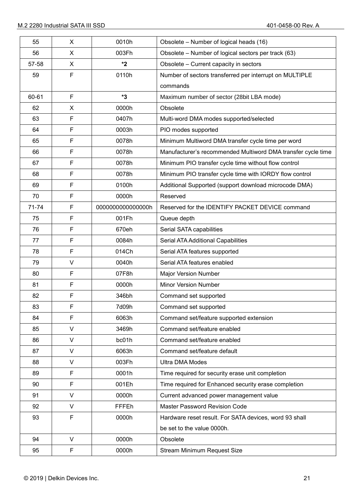| 55        | X      | 0010h            | Obsolete - Number of logical heads (16)                      |
|-----------|--------|------------------|--------------------------------------------------------------|
| 56        | X      | 003Fh            | Obsolete – Number of logical sectors per track (63)          |
| 57-58     | X      | *2               | Obsolete - Current capacity in sectors                       |
| 59        | F      | 0110h            | Number of sectors transferred per interrupt on MULTIPLE      |
|           |        |                  | commands                                                     |
| 60-61     | F      | *3               | Maximum number of sector (28bit LBA mode)                    |
| 62        | X      | 0000h            | Obsolete                                                     |
| 63        | F      | 0407h            | Multi-word DMA modes supported/selected                      |
| 64        | F      | 0003h            | PIO modes supported                                          |
| 65        | F      | 0078h            | Minimum Multiword DMA transfer cycle time per word           |
| 66        | F      | 0078h            | Manufacturer's recommended Multiword DMA transfer cycle time |
| 67        | F      | 0078h            | Minimum PIO transfer cycle time without flow control         |
| 68        | F      | 0078h            | Minimum PIO transfer cycle time with IORDY flow control      |
| 69        | F      | 0100h            | Additional Supported (support download microcode DMA)        |
| 70        | F      | 0000h            | Reserved                                                     |
| $71 - 74$ | F      | 000000000000000h | Reserved for the IDENTIFY PACKET DEVICE command              |
| 75        | F      | 001Fh            | Queue depth                                                  |
| 76        | F      | 670eh            | Serial SATA capabilities                                     |
| 77        | F      | 0084h            | Serial ATA Additional Capabilities                           |
| 78        | F      | 014Ch            | Serial ATA features supported                                |
| 79        | V      | 0040h            | Serial ATA features enabled                                  |
| 80        | F      | 07F8h            | <b>Major Version Number</b>                                  |
| 81        | F      | 0000h            | <b>Minor Version Number</b>                                  |
| 82        | F      | 346bh            | Command set supported                                        |
| 83        | F      | 7d09h            | Command set supported                                        |
| 84        | F      | 6063h            | Command set/feature supported extension                      |
| 85        | V      | 3469h            | Command set/feature enabled                                  |
| 86        | V      | bc01h            | Command set/feature enabled                                  |
| 87        | $\vee$ | 6063h            | Command set/feature default                                  |
| 88        | V      | 003Fh            | <b>Ultra DMA Modes</b>                                       |
| 89        | F      | 0001h            | Time required for security erase unit completion             |
| 90        | F      | 001Eh            | Time required for Enhanced security erase completion         |
| 91        | V      | 0000h            | Current advanced power management value                      |
| 92        | V      | FFFEh            | <b>Master Password Revision Code</b>                         |
| 93        | F      | 0000h            | Hardware reset result. For SATA devices, word 93 shall       |
|           |        |                  | be set to the value 0000h.                                   |
| 94        | V      | 0000h            | Obsolete                                                     |
| 95        | F      | 0000h            | Stream Minimum Request Size                                  |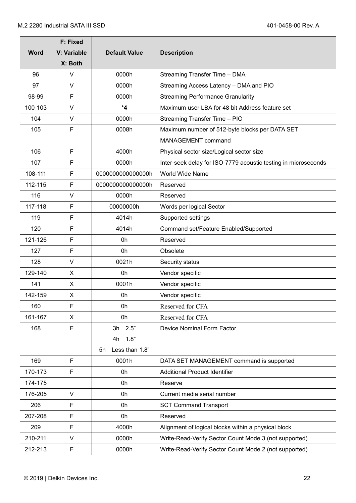|             | <b>F: Fixed</b> |                      |                                                                |  |
|-------------|-----------------|----------------------|----------------------------------------------------------------|--|
| <b>Word</b> | V: Variable     | <b>Default Value</b> | <b>Description</b>                                             |  |
|             | X: Both         |                      |                                                                |  |
| 96          | V               | 0000h                | Streaming Transfer Time - DMA                                  |  |
| 97          | V               | 0000h                | Streaming Access Latency - DMA and PIO                         |  |
| 98-99       | F               | 0000h                | <b>Streaming Performance Granularity</b>                       |  |
| 100-103     | $\vee$          | $*4$                 | Maximum user LBA for 48 bit Address feature set                |  |
| 104         | $\vee$          | 0000h                | Streaming Transfer Time - PIO                                  |  |
| 105         | F               | 0008h                | Maximum number of 512-byte blocks per DATA SET                 |  |
|             |                 |                      | MANAGEMENT command                                             |  |
| 106         | F               | 4000h                | Physical sector size/Logical sector size                       |  |
| 107         | F               | 0000h                | Inter-seek delay for ISO-7779 acoustic testing in microseconds |  |
| 108-111     | F               | 000000000000000h     | World Wide Name                                                |  |
| 112-115     | F               | 000000000000000h     | Reserved                                                       |  |
| 116         | $\vee$          | 0000h                | Reserved                                                       |  |
| 117-118     | F               | 00000000h            | Words per logical Sector                                       |  |
| 119         | F               | 4014h                | Supported settings                                             |  |
| 120         | F               | 4014h                | Command set/Feature Enabled/Supported                          |  |
| 121-126     | F               | 0h                   | Reserved                                                       |  |
| 127         | F               | 0h                   | Obsolete                                                       |  |
| 128         | $\vee$          | 0021h                | Security status                                                |  |
| 129-140     | X               | 0h                   | Vendor specific                                                |  |
| 141         | X               | 0001h                | Vendor specific                                                |  |
| 142-159     | X               | 0h                   | Vendor specific                                                |  |
| 160         | F               | 0h                   | Reserved for CFA                                               |  |
| 161-167     | X               | 0h                   | Reserved for CFA                                               |  |
| 168         | F               | 3h 2.5"              | Device Nominal Form Factor                                     |  |
|             |                 | 1.8"<br>4h           |                                                                |  |
|             |                 | Less than 1.8"<br>5h |                                                                |  |
| 169         | F               | 0001h                | DATA SET MANAGEMENT command is supported                       |  |
| 170-173     | F               | 0h                   | <b>Additional Product Identifier</b>                           |  |
| 174-175     |                 | 0h                   | Reserve                                                        |  |
| 176-205     | $\vee$          | 0h                   | Current media serial number                                    |  |
| 206         | F               | 0h                   | <b>SCT Command Transport</b>                                   |  |
| 207-208     | F               | 0h                   | Reserved                                                       |  |
| 209         | F               | 4000h                | Alignment of logical blocks within a physical block            |  |
| 210-211     | $\vee$          | 0000h                | Write-Read-Verify Sector Count Mode 3 (not supported)          |  |
| 212-213     | F               | 0000h                | Write-Read-Verify Sector Count Mode 2 (not supported)          |  |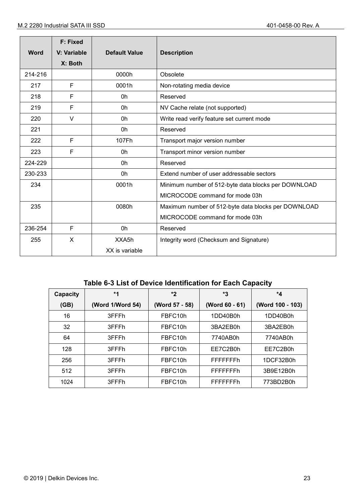|             | <b>F: Fixed</b> |                      |                                                     |
|-------------|-----------------|----------------------|-----------------------------------------------------|
| <b>Word</b> | V: Variable     | <b>Default Value</b> | <b>Description</b>                                  |
|             | X: Both         |                      |                                                     |
| 214-216     |                 | 0000h                | Obsolete                                            |
| 217         | F               | 0001h                | Non-rotating media device                           |
| 218         | F               | 0h                   | Reserved                                            |
| 219         | F               | 0h                   | NV Cache relate (not supported)                     |
| 220         | V               | 0h                   | Write read verify feature set current mode          |
| 221         |                 | 0h                   | Reserved                                            |
| 222         | F               | 107Fh                | Transport major version number                      |
| 223         | F               | 0h                   | Transport minor version number                      |
| 224-229     |                 | 0h                   | Reserved                                            |
| 230-233     |                 | 0h                   | Extend number of user addressable sectors           |
| 234         |                 | 0001h                | Minimum number of 512-byte data blocks per DOWNLOAD |
|             |                 |                      | MICROCODE command for mode 03h                      |
| 235         |                 | 0080h                | Maximum number of 512-byte data blocks per DOWNLOAD |
|             |                 |                      | MICROCODE command for mode 03h                      |
| 236-254     | F               | 0h                   | Reserved                                            |
| 255         | X               | XXA5h                | Integrity word (Checksum and Signature)             |
|             |                 | XX is variable       |                                                     |

## **Table 6-3 List of Device Identification for Each Capacity**

<span id="page-22-0"></span>

| Capacity | *1               | *2             | *3               | *4               |
|----------|------------------|----------------|------------------|------------------|
| (GB)     | (Word 1/Word 54) | (Word 57 - 58) | (Word 60 - 61)   | (Word 100 - 103) |
| 16       | 3FFFh            | FBFC10h        | 1DD40B0h         | 1DD40B0h         |
| 32       | 3FFFh            | FBFC10h        | 3BA2EB0h         | 3BA2EB0h         |
| 64       | 3FFFh            | FBFC10h        | 7740AB0h         | 7740AB0h         |
| 128      | 3FFFh            | FBFC10h        | EE7C2B0h         | EE7C2B0h         |
| 256      | 3FFFh            | FBFC10h        | FFFFFFFh         | 1DCF32B0h        |
| 512      | 3FFFh            | FBFC10h        | <b>FFFFFFFFh</b> | 3B9E12B0h        |
| 1024     | 3FFFh            | FBFC10h        | FFFFFFFh         | 773BD2B0h        |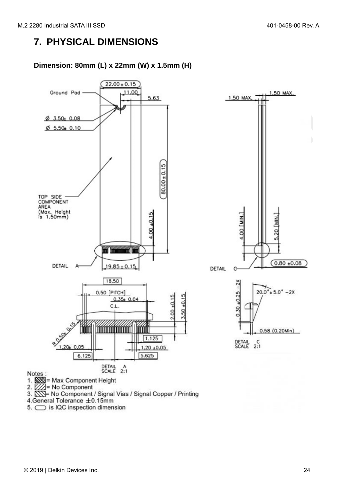## <span id="page-23-0"></span>**7. PHYSICAL DIMENSIONS**

## **Dimension: 80mm (L) x 22mm (W) x 1.5mm (H)**



5.  $\bigcirc$  is IQC inspection dimension